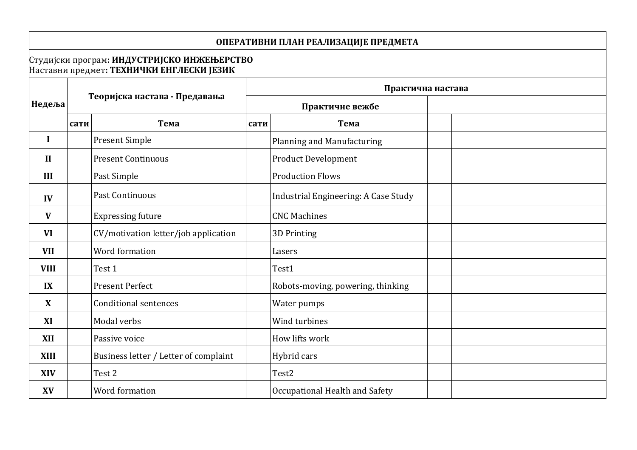# **ОПЕРАТИВНИ ПЛАН РЕАЛИЗАЦИЈЕ ПРЕДМЕТА**

#### Студијски програм**: ИНДУСТРИЈСКО ИНЖЕЊЕРСТВО** Наставни предмет**: TЕХНИЧКИ ЕНГЛЕСКИ ЈЕЗИК**

| Недеља       |      |                                       | Практична настава |                                      |  |
|--------------|------|---------------------------------------|-------------------|--------------------------------------|--|
|              |      | Теоријска настава - Предавања         |                   | Практичне вежбе                      |  |
|              | сати | Тема                                  | сати              | Тема                                 |  |
| I            |      | <b>Present Simple</b>                 |                   | <b>Planning and Manufacturing</b>    |  |
| $\mathbf{I}$ |      | <b>Present Continuous</b>             |                   | <b>Product Development</b>           |  |
| III          |      | Past Simple                           |                   | <b>Production Flows</b>              |  |
| IV           |      | Past Continuous                       |                   | Industrial Engineering: A Case Study |  |
| V            |      | <b>Expressing future</b>              |                   | <b>CNC Machines</b>                  |  |
| <b>VI</b>    |      | CV/motivation letter/job application  |                   | 3D Printing                          |  |
| <b>VII</b>   |      | Word formation                        |                   | Lasers                               |  |
| <b>VIII</b>  |      | Test 1                                |                   | Test1                                |  |
| IX           |      | <b>Present Perfect</b>                |                   | Robots-moving, powering, thinking    |  |
| X            |      | <b>Conditional sentences</b>          |                   | Water pumps                          |  |
| XI           |      | Modal verbs                           |                   | Wind turbines                        |  |
| <b>XII</b>   |      | Passive voice                         |                   | How lifts work                       |  |
| <b>XIII</b>  |      | Business letter / Letter of complaint |                   | Hybrid cars                          |  |
| <b>XIV</b>   |      | Test 2                                |                   | Test2                                |  |
| XV           |      | Word formation                        |                   | Occupational Health and Safety       |  |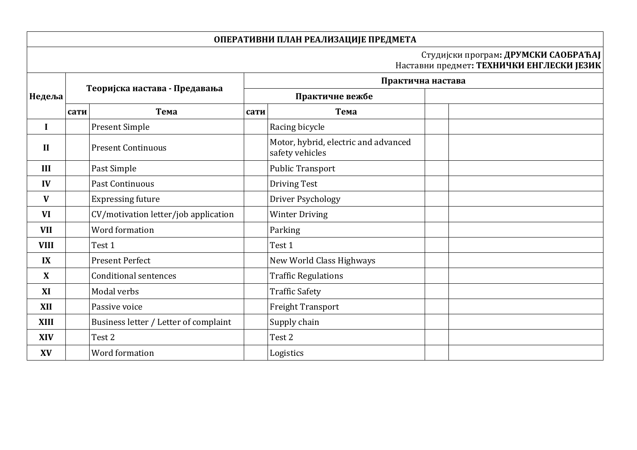## **ОПЕРАТИВНИ ПЛАН РЕАЛИЗАЦИЈЕ ПРЕДМЕТА**

#### Студијски програм**: ДРУМСКИ САОБРАЋАЈ** Наставни предмет**: TЕХНИЧКИ ЕНГЛЕСКИ ЈЕЗИК**

|              | Теоријска настава - Предавања |                                       | Практична настава |                                                         |  |  |
|--------------|-------------------------------|---------------------------------------|-------------------|---------------------------------------------------------|--|--|
| Недеља       |                               |                                       | Практичне вежбе   |                                                         |  |  |
|              | сати                          | Тема                                  | сати              | Тема                                                    |  |  |
| $\bf{I}$     |                               | <b>Present Simple</b>                 |                   | Racing bicycle                                          |  |  |
| $\mathbf{I}$ |                               | <b>Present Continuous</b>             |                   | Motor, hybrid, electric and advanced<br>safety vehicles |  |  |
| III          |                               | Past Simple                           |                   | <b>Public Transport</b>                                 |  |  |
| IV           |                               | Past Continuous                       |                   | Driving Test                                            |  |  |
| V            |                               | <b>Expressing future</b>              |                   | Driver Psychology                                       |  |  |
| <b>VI</b>    |                               | CV/motivation letter/job application  |                   | <b>Winter Driving</b>                                   |  |  |
| <b>VII</b>   |                               | Word formation                        |                   | Parking                                                 |  |  |
| <b>VIII</b>  |                               | Test 1                                |                   | Test 1                                                  |  |  |
| IX           |                               | <b>Present Perfect</b>                |                   | New World Class Highways                                |  |  |
| X            |                               | <b>Conditional sentences</b>          |                   | <b>Traffic Regulations</b>                              |  |  |
| XI           |                               | Modal verbs                           |                   | <b>Traffic Safety</b>                                   |  |  |
| <b>XII</b>   |                               | Passive voice                         |                   | <b>Freight Transport</b>                                |  |  |
| <b>XIII</b>  |                               | Business letter / Letter of complaint |                   | Supply chain                                            |  |  |
| <b>XIV</b>   |                               | Test 2                                |                   | Test 2                                                  |  |  |
| XV           |                               | Word formation                        |                   | Logistics                                               |  |  |